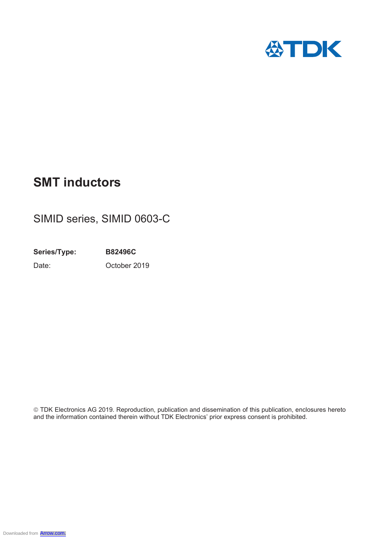

# **SMT inductors**

## SIMID series, SIMID 0603-C

**Series/Type: B82496C** Date: October 2019

© TDK Electronics AG 2019. Reproduction, publication and dissemination of this publication, enclosures hereto and the information contained therein without TDK Electronics' prior express consent is prohibited.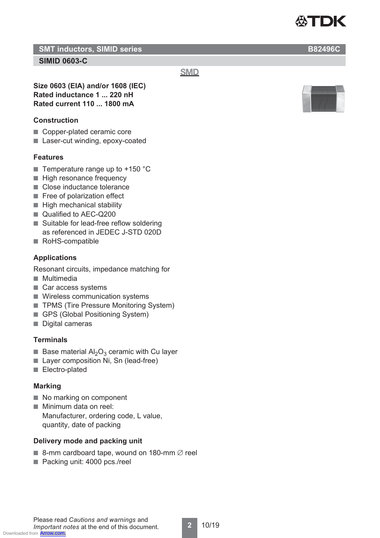

#### **SMT inductors, SIMID series B82496C**

#### **SIMID 0603-C**

**SMD** 

**Size 0603 (EIA) and/or 1608 (IEC) Rated inductance 1 ... 220 nH Rated current 110 ... 1800 mA**

#### **Construction**

- Copper-plated ceramic core
- Laser-cut winding, epoxy-coated

#### **Features**

- **Temperature range up to +150 °C**
- High resonance frequency
- Close inductance tolerance
- Free of polarization effect
- High mechanical stability
- Qualified to AEC-Q200
- Suitable for lead-free reflow soldering as referenced in JEDEC J-STD 020D
- RoHS-compatible

#### **Applications**

Resonant circuits, impedance matching for

- Multimedia
- Car access systems
- Wireless communication systems
- TPMS (Tire Pressure Monitoring System)
- GPS (Global Positioning System)
- Digital cameras

#### **Terminals**

- Base material  $\mathsf{Al}_2\mathsf{O}_3$  ceramic with Cu layer
- Layer composition Ni, Sn (lead-free)
- Electro-plated

#### **Marking**

- No marking on component
- Minimum data on reel: Manufacturer, ordering code, L value, quantity, date of packing

#### **Delivery mode and packing unit**

- $\blacksquare$  8-mm cardboard tape, wound on 180-mm  $\varnothing$  reel
- Packing unit: 4000 pcs./reel

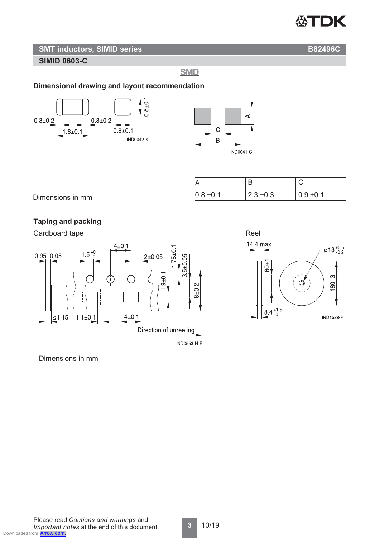

#### **SMT inductors, SIMID series B82496C**

**SIMID 0603-C**

**SMD** 

#### **Dimensional drawing and layout recommendation**





| А             |               |               |
|---------------|---------------|---------------|
| $0.8 \pm 0.1$ | $2.3 \pm 0.3$ | $0.9 \pm 0.1$ |

Dimensions in mm

#### **Taping and packing**

Cardboard tape **Reel** 





Dimensions in mm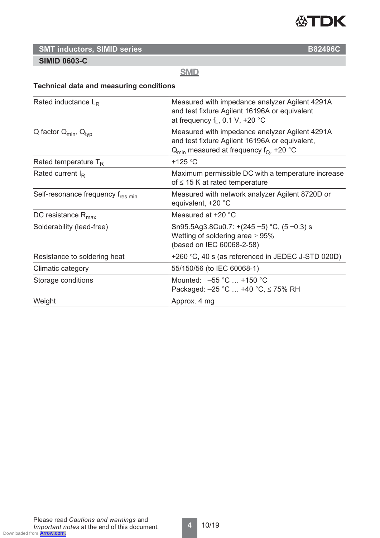

### **SMT inductors, SIMID series B82496C**

#### **SIMID 0603-C**

#### **SMD**

#### **Technical data and measuring conditions**

| Rated inductance $L_R$            | Measured with impedance analyzer Agilent 4291A<br>and test fixture Agilent 16196A or equivalent<br>at frequency $f_1$ , 0.1 V, +20 °C                     |
|-----------------------------------|-----------------------------------------------------------------------------------------------------------------------------------------------------------|
| Q factor $Q_{min}$ , $Q_{typ}$    | Measured with impedance analyzer Agilent 4291A<br>and test fixture Agilent 16196A or equivalent,<br>$Q_{\text{min}}$ measured at frequency $f_Q$ , +20 °C |
| Rated temperature $T_R$           | +125 $\degree$ C                                                                                                                                          |
| Rated current $I_R$               | Maximum permissible DC with a temperature increase<br>of $\leq$ 15 K at rated temperature                                                                 |
| Self-resonance frequency fres.min | Measured with network analyzer Agilent 8720D or<br>equivalent, +20 °C                                                                                     |
| DC resistance $R_{\text{max}}$    | Measured at +20 °C                                                                                                                                        |
| Solderability (lead-free)         | Sn95.5Ag3.8Cu0.7: +(245 $\pm$ 5) °C, (5 $\pm$ 0.3) s<br>Wetting of soldering area $\geq 95\%$<br>(based on IEC 60068-2-58)                                |
| Resistance to soldering heat      | +260 $\degree$ C, 40 s (as referenced in JEDEC J-STD 020D)                                                                                                |
| Climatic category                 | 55/150/56 (to IEC 60068-1)                                                                                                                                |
| Storage conditions                | Mounted: -55 °C  +150 °C<br>Packaged: $-25$ °C  +40 °C, $\leq$ 75% RH                                                                                     |
| Weight                            | Approx. 4 mg                                                                                                                                              |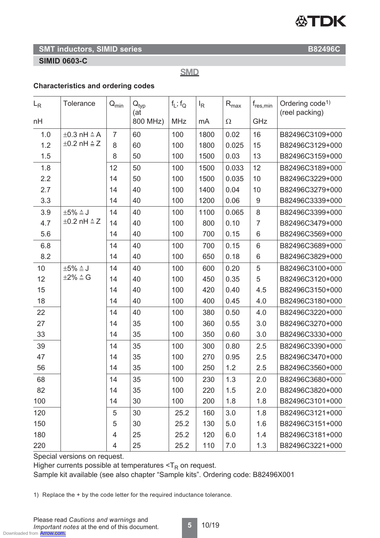# **公TDK**

#### **SMT inductors, SIMID series B82496C**

#### **SIMID 0603-C**

**SMD** 

#### **Characteristics and ordering codes**

| $L_{R}$ | <b>Tolerance</b>                                           | $\mathsf{Q}_{\mathsf{min}}$ | $\mathsf{Q}_{\mathsf{typ}}$<br>(at) | $f_L$ ; $f_Q$ | $I_R$ | $\mathsf{R}_{\text{max}}$ | $f_{res,min}$ | Ordering code <sup>1)</sup><br>(reel packing) |
|---------|------------------------------------------------------------|-----------------------------|-------------------------------------|---------------|-------|---------------------------|---------------|-----------------------------------------------|
| nH      |                                                            |                             | 800 MHz)                            | <b>MHz</b>    | mA    | $\Omega$                  | GHz           |                                               |
| 1.0     | $\pm 0.3$ nH $\triangleq$ A<br>$\pm 0.2$ nH $\triangleq$ Z | $\overline{7}$              | 60                                  | 100           | 1800  | 0.02                      | 16            | B82496C3109+000                               |
| 1.2     |                                                            | 8                           | 60                                  | 100           | 1800  | 0.025                     | 15            | B82496C3129+000                               |
| 1.5     |                                                            | 8                           | 50                                  | 100           | 1500  | 0.03                      | 13            | B82496C3159+000                               |
| 1.8     |                                                            | 12                          | 50                                  | 100           | 1500  | 0.033                     | 12            | B82496C3189+000                               |
| 2.2     |                                                            | 14                          | 50                                  | 100           | 1500  | 0.035                     | 10            | B82496C3229+000                               |
| 2.7     |                                                            | 14                          | 40                                  | 100           | 1400  | 0.04                      | 10            | B82496C3279+000                               |
| 3.3     |                                                            | 14                          | 40                                  | 100           | 1200  | 0.06                      | $9\,$         | B82496C3339+000                               |
| 3.9     | $\pm 5\% \triangleq J$                                     | 14                          | 40                                  | 100           | 1100  | 0.065                     | 8             | B82496C3399+000                               |
| 4.7     | $\pm 0.2$ nH $\triangleq$ Z                                | 14                          | 40                                  | 100           | 800   | 0.10                      | 7             | B82496C3479+000                               |
| 5.6     |                                                            | 14                          | 40                                  | 100           | 700   | 0.15                      | 6             | B82496C3569+000                               |
| 6.8     |                                                            | 14                          | 40                                  | 100           | 700   | 0.15                      | 6             | B82496C3689+000                               |
| 8.2     |                                                            | 14                          | 40                                  | 100           | 650   | 0.18                      | 6             | B82496C3829+000                               |
| 10      | $\pm 5\% \triangleq J$                                     | 14                          | 40                                  | 100           | 600   | 0.20                      | 5             | B82496C3100+000                               |
| 12      | $\pm 2\% \triangleq G$                                     | 14                          | 40                                  | 100           | 450   | 0.35                      | 5             | B82496C3120+000                               |
| 15      |                                                            | 14                          | 40                                  | 100           | 420   | 0.40                      | 4.5           | B82496C3150+000                               |
| 18      |                                                            | 14                          | 40                                  | 100           | 400   | 0.45                      | 4.0           | B82496C3180+000                               |
| 22      |                                                            | 14                          | 40                                  | 100           | 380   | 0.50                      | 4.0           | B82496C3220+000                               |
| 27      |                                                            | 14                          | 35                                  | 100           | 360   | 0.55                      | 3.0           | B82496C3270+000                               |
| 33      |                                                            | 14                          | 35                                  | 100           | 350   | 0.60                      | 3.0           | B82496C3330+000                               |
| 39      |                                                            | 14                          | 35                                  | 100           | 300   | 0.80                      | 2.5           | B82496C3390+000                               |
| 47      |                                                            | 14                          | 35                                  | 100           | 270   | 0.95                      | 2.5           | B82496C3470+000                               |
| 56      |                                                            | 14                          | 35                                  | 100           | 250   | 1.2                       | 2.5           | B82496C3560+000                               |
| 68      |                                                            | 14                          | 35                                  | 100           | 230   | 1.3                       | 2.0           | B82496C3680+000                               |
| 82      |                                                            | 14                          | 35                                  | 100           | 220   | 1.5                       | 2.0           | B82496C3820+000                               |
| 100     |                                                            | 14                          | 30                                  | 100           | 200   | 1.8                       | 1.8           | B82496C3101+000                               |
| 120     |                                                            | 5                           | 30                                  | 25.2          | 160   | 3.0                       | 1.8           | B82496C3121+000                               |
| 150     |                                                            | 5                           | 30                                  | 25.2          | 130   | 5.0                       | 1.6           | B82496C3151+000                               |
| 180     |                                                            | 4                           | 25                                  | 25.2          | 120   | 6.0                       | 1.4           | B82496C3181+000                               |
| 220     |                                                            | 4                           | 25                                  | 25.2          | 110   | 7.0                       | 1.3           | B82496C3221+000                               |

Special versions on request.

Higher currents possible at temperatures  $<$ T<sub>R</sub> on request.

Sample kit available (see also chapter "Sample kits". Ordering code: B82496X001

1) Replace the + by the code letter for the required inductance tolerance.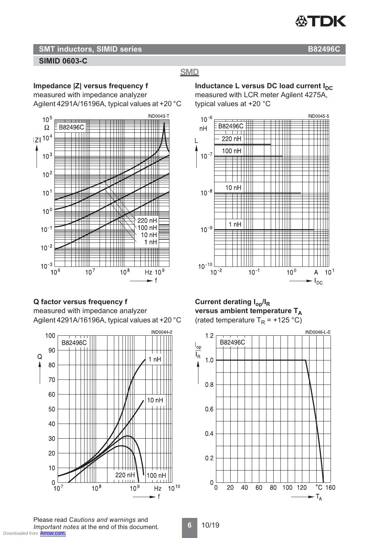

#### **SMT inductors, SIMID series B82496C SIMID 0603-C**

#### **SMD**

**Impedance |Z| versus frequency f**

measured with impedance analyzer Agilent 4291A/16196A, typical values at +20 °C



#### **Q factor versus frequency f**

measured with impedance analyzer Agilent 4291A/16196A, typical values at +20 °C



**Inductance L versus DC load current IDC** measured with LCR meter Agilent 4275A, typical values at +20 °C



#### **Current derating Iop/IR versus ambient temperature TA** (rated temperature  $T_R$  = +125 °C)



Please read *Cautions and warnings* and *Important notes* at the end of this document. Downloaded from **[Arrow.com.](http://www.arrow.com)**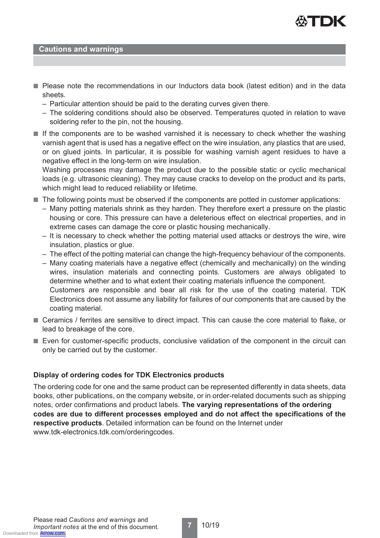

#### **Cautions and warnings**

- Please note the recommendations in our Inductors data book (latest edition) and in the data sheets.
	- Particular attention should be paid to the derating curves given there.
	- The soldering conditions should also be observed. Temperatures quoted in relation to wave soldering refer to the pin, not the housing.
- If the components are to be washed varnished it is necessary to check whether the washing varnish agent that is used has a negative effect on the wire insulation, any plastics that are used, or on glued joints. In particular, it is possible for washing varnish agent residues to have a negative effect in the long-term on wire insulation.

Washing processes may damage the product due to the possible static or cyclic mechanical loads (e.g. ultrasonic cleaning). They may cause cracks to develop on the product and its parts, which might lead to reduced reliability or lifetime.

- The following points must be observed if the components are potted in customer applications:
	- Many potting materials shrink as they harden. They therefore exert a pressure on the plastic housing or core. This pressure can have a deleterious effect on electrical properties, and in extreme cases can damage the core or plastic housing mechanically.
	- It is necessary to check whether the potting material used attacks or destroys the wire, wire insulation, plastics or glue.
	- The effect of the potting material can change the high-frequency behaviour of the components.
	- Many coating materials have a negative effect (chemically and mechanically) on the winding wires, insulation materials and connecting points. Customers are always obligated to determine whether and to what extent their coating materials influence the component. Customers are responsible and bear all risk for the use of the coating material. TDK Electronics does not assume any liability for failures of our components that are caused by the coating material.
- Ceramics / ferrites are sensitive to direct impact. This can cause the core material to flake, or lead to breakage of the core.
- Even for customer-specific products, conclusive validation of the component in the circuit can only be carried out by the customer.

#### **Display of ordering codes for TDK Electronics products**

The ordering code for one and the same product can be represented differently in data sheets, data books, other publications, on the company website, or in order-related documents such as shipping notes, order confirmations and product labels. **The varying representations of the ordering codes are due to different processes employed and do not affect the specifications of the respective products**. Detailed information can be found on the Internet under www.tdk-electronics.tdk.com/orderingcodes.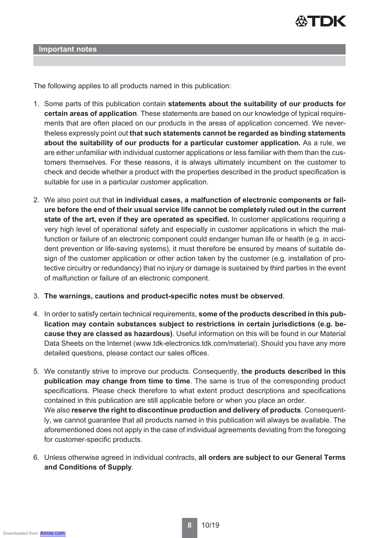

**Important notes**

The following applies to all products named in this publication:

- 1. Some parts of this publication contain **statements about the suitability of our products for certain areas of application**. These statements are based on our knowledge of typical requirements that are often placed on our products in the areas of application concerned. We nevertheless expressly point out **that such statements cannot be regarded as binding statements about the suitability of our products for a particular customer application.** As a rule, we are either unfamiliar with individual customer applications or less familiar with them than the customers themselves. For these reasons, it is always ultimately incumbent on the customer to check and decide whether a product with the properties described in the product specification is suitable for use in a particular customer application.
- 2. We also point out that **in individual cases, a malfunction of electronic components or failure before the end of their usual service life cannot be completely ruled out in the current state of the art, even if they are operated as specified.** In customer applications requiring a very high level of operational safety and especially in customer applications in which the malfunction or failure of an electronic component could endanger human life or health (e.g. in accident prevention or life-saving systems), it must therefore be ensured by means of suitable design of the customer application or other action taken by the customer (e.g. installation of protective circuitry or redundancy) that no injury or damage is sustained by third parties in the event of malfunction or failure of an electronic component.
- 3. **The warnings, cautions and product-specific notes must be observed**.
- 4. In order to satisfy certain technical requirements, **some of the products described in this publication may contain substances subject to restrictions in certain jurisdictions (e.g. because they are classed as hazardous)**. Useful information on this will be found in our Material Data Sheets on the Internet (www.tdk-electronics.tdk.com/material). Should you have any more detailed questions, please contact our sales offices.
- 5. We constantly strive to improve our products. Consequently, **the products described in this publication may change from time to time**. The same is true of the corresponding product specifications. Please check therefore to what extent product descriptions and specifications contained in this publication are still applicable before or when you place an order. We also **reserve the right to discontinue production and delivery of products**. Consequently, we cannot guarantee that all products named in this publication will always be available. The aforementioned does not apply in the case of individual agreements deviating from the foregoing for customer-specific products.
- 6. Unless otherwise agreed in individual contracts, **all orders are subject to our General Terms and Conditions of Supply**.